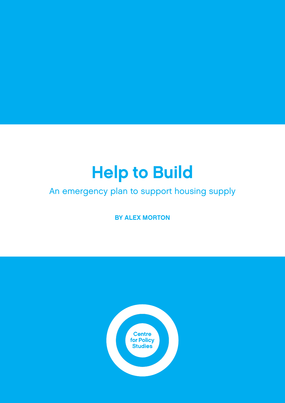# Help to Build

# An emergency plan to support housing supply

BY ALEX MORTON

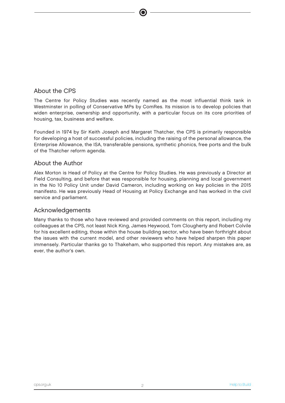### About the CPS

The Centre for Policy Studies was recently named as the most influential think tank in Westminster in polling of Conservative MPs by ComRes. Its mission is to develop policies that widen enterprise, ownership and opportunity, with a particular focus on its core priorities of housing, tax, business and welfare.

Founded in 1974 by Sir Keith Joseph and Margaret Thatcher, the CPS is primarily responsible for developing a host of successful policies, including the raising of the personal allowance, the Enterprise Allowance, the ISA, transferable pensions, synthetic phonics, free ports and the bulk of the Thatcher reform agenda.

### About the Author

Alex Morton is Head of Policy at the Centre for Policy Studies. He was previously a Director at Field Consulting, and before that was responsible for housing, planning and local government in the No 10 Policy Unit under David Cameron, including working on key policies in the 2015 manifesto. He was previously Head of Housing at Policy Exchange and has worked in the civil service and parliament.

### Acknowledgements

Many thanks to those who have reviewed and provided comments on this report, including my colleagues at the CPS, not least Nick King, James Heywood, Tom Clougherty and Robert Colvile for his excellent editing, those within the house building sector, who have been forthright about the issues with the current model, and other reviewers who have helped sharpen this paper immensely. Particular thanks go to Thakeham, who supported this report. Any mistakes are, as ever, the author's own.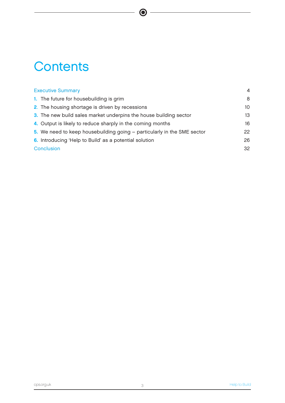# **Contents**

| <b>Executive Summary</b>                                                | $\overline{4}$ |
|-------------------------------------------------------------------------|----------------|
| 1. The future for housebuilding is grim                                 | 8              |
| 2. The housing shortage is driven by recessions                         | 10             |
| 3. The new build sales market underpins the house building sector       | 13             |
| 4. Output is likely to reduce sharply in the coming months              | 16             |
| 5. We need to keep housebuilding going – particularly in the SME sector | 22             |
| 6. Introducing 'Help to Build' as a potential solution                  | 26             |
| Conclusion                                                              | 32             |

 $\bigcirc$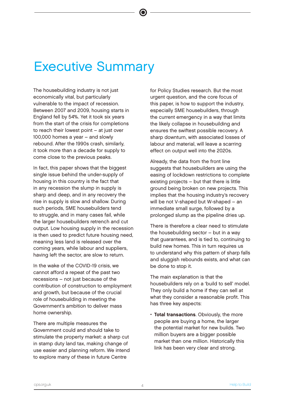# Executive Summary

The housebuilding industry is not just economically vital, but particularly vulnerable to the impact of recession. Between 2007 and 2009, housing starts in England fell by 54%. Yet it took six years from the start of the crisis for completions to reach their lowest point – at just over 100,000 homes a year – and slowly rebound. After the 1990s crash, similarly, it took more than a decade for supply to come close to the previous peaks.

In fact, this paper shows that the biggest single issue behind the under-supply of housing in this country is the fact that in any recession the slump in supply is sharp and deep, and in any recovery the rise in supply is slow and shallow. During such periods, SME housebuilders tend to struggle, and in many cases fail, while the larger housebuilders retrench and cut output. Low housing supply in the recession is then used to predict future housing need, meaning less land is released over the coming years, while labour and suppliers, having left the sector, are slow to return.

In the wake of the COVID-19 crisis, we cannot afford a repeat of the past two recessions – not just because of the contribution of construction to employment and growth, but because of the crucial role of housebuilding in meeting the Government's ambition to deliver mass home ownership.

There are multiple measures the Government could and should take to stimulate the property market: a sharp cut in stamp duty land tax, making change of use easier and planning reform. We intend to explore many of these in future Centre

for Policy Studies research. But the most urgent question, and the core focus of this paper, is how to support the industry, especially SME housebuilders, through the current emergency in a way that limits the likely collapse in housebuilding and ensures the swiftest possible recovery. A sharp downturn, with associated losses of labour and material, will leave a scarring effect on output well into the 2020s.

Already, the data from the front line suggests that housebuilders are using the easing of lockdown restrictions to complete existing projects – but that there is little ground being broken on new projects. This implies that the housing industry's recovery will be not V-shaped but W-shaped – an immediate small surge, followed by a prolonged slump as the pipeline dries up.

There is therefore a clear need to stimulate the housebuilding sector – but in a way that guarantees, and is tied to, continuing to build new homes. This in turn requires us to understand why this pattern of sharp falls and sluggish rebounds exists, and what can be done to stop it.

The main explanation is that the housebuilders rely on a 'build to sell' model. They only build a home if they can sell at what they consider a reasonable profit. This has three key aspects:

• Total transactions. Obviously, the more people are buying a home, the larger the potential market for new builds. Two million buyers are a bigger possible market than one million. Historically this link has been very clear and strong.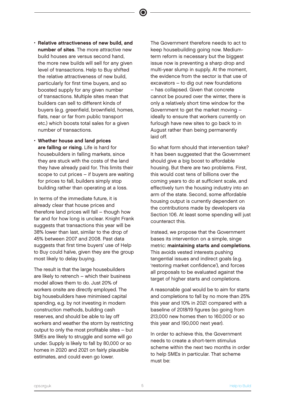- 
- Relative attractiveness of new build, and number of sites. The more attractive new build houses are versus second hand, the more new builds will sell for any given level of transactions. Help to Buy shifted the relative attractiveness of new build, particularly for first time buyers, and so boosted supply for any given number of transactions. Multiple sites mean that builders can sell to different kinds of buyers (e.g. greenfield, brownfield, homes, flats, near or far from public transport etc.) which boosts total sales for a given number of transactions.
- Whether house and land prices are falling or rising. Life is hard for housebuilders in falling markets, since they are stuck with the costs of the land they have already paid for. This limits their scope to cut prices – if buyers are waiting for prices to fall, builders simply stop building rather than operating at a loss.

In terms of the immediate future, it is already clear that house prices and therefore land prices will fall – though how far and for how long is unclear. Knight Frank suggests that transactions this year will be 38% lower than last, similar to the drop of 45% between 2007 and 2008. Past data suggests that first time buyers' use of Help to Buy could halve, given they are the group most likely to delay buying.

The result is that the large housebuilders are likely to retrench – which their business model allows them to do. Just 20% of workers onsite are directly employed. The big housebuilders have minimised capital spending, e.g. by not investing in modern construction methods, building cash reserves, and should be able to lay off workers and weather the storm by restricting output to only the most profitable sites – but SMEs are likely to struggle and some will go under. Supply is likely to fall by 80,000 or so homes in 2020 and 2021 on fairly plausible estimates, and could even go lower.

The Government therefore needs to act to keep housebuilding going now. Mediumterm reform is necessary but the biggest issue now is preventing a sharp drop and multi-year slump in supply. At the moment, the evidence from the sector is that use of excavators – to dig out new foundations – has collapsed. Given that concrete cannot be poured over the winter, there is only a relatively short time window for the Government to get the market moving – ideally to ensure that workers currently on furlough have new sites to go back to in August rather than being permanently laid off.

So what form should that intervention take? It has been suggested that the Government should give a big boost to affordable housing. But there are two problems. First, this would cost tens of billions over the coming years to do at sufficient scale, and effectively turn the housing industry into an arm of the state. Second, some affordable housing output is currently dependent on the contributions made by developers via Section 106. At least some spending will just counteract this.

Instead, we propose that the Government bases its intervention on a simple, singe metric: maintaining starts and completions. This avoids vested interests pushing tangential issues and indirect goals (e.g. 'restoring market confidence'), and forces all proposals to be evaluated against the target of higher starts and completions.

A reasonable goal would be to aim for starts and completions to fall by no more than 25% this year and 10% in 2021 compared with a baseline of 2018/19 figures (so going from 213,000 new homes then to 160,000 or so this year and 190,000 next year).

In order to achieve this, the Government needs to create a short-term stimulus scheme within the next two months in order to help SMEs in particular. That scheme must be: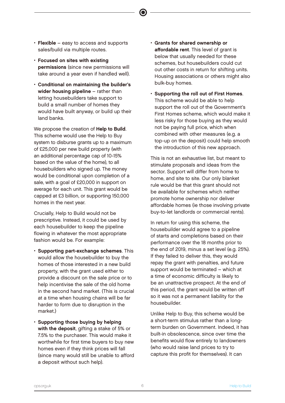- $\cdot$  Flexible easy to access and supports sales/build via multiple routes.
- Focused on sites with existing permissions (since new permissions will take around a year even if handled well).
- Conditional on maintaining the builder's wider housing pipeline - rather than letting housebuilders take support to build a small number of homes they would have built anyway, or build up their land banks.

We propose the creation of Help to Build. This scheme would use the Help to Buy system to disburse grants up to a maximum of £25,000 per new build property (with an additional percentage cap of 10-15% based on the value of the home), to all housebuilders who signed up. The money would be conditional upon completion of a sale, with a goal of £20,000 in support on average for each unit. This grant would be capped at £3 billion, or supporting 150,000 homes in the next year.

Crucially, Help to Build would not be prescriptive. Instead, it could be used by each housebuilder to keep the pipeline flowing in whatever the most appropriate fashion would be. For example:

- Supporting part-exchange schemes. This would allow the housebuilder to buy the homes of those interested in a new build property, with the grant used either to provide a discount on the sale price or to help incentivise the sale of the old home in the second hand market. (This is crucial at a time when housing chains will be far harder to form due to disruption in the market.)
- Supporting those buying by helping with the deposit, gifting a stake of 5% or 7.5% to the purchaser. This would make it worthwhile for first time buyers to buy new homes even if they think prices will fall (since many would still be unable to afford a deposit without such help).

• Grants for shared ownership or affordable rent. This level of grant is below that usually needed for these schemes, but housebuilders could cut out other costs in return for shifting units. Housing associations or others might also bulk-buy homes.

 $\bullet$ 

• Supporting the roll out of First Homes. This scheme would be able to help support the roll out of the Government's First Homes scheme, which would make it less risky for those buying as they would not be paying full price, which when combined with other measures (e.g. a top-up on the deposit) could help smooth the introduction of this new approach.

This is not an exhaustive list, but meant to stimulate proposals and ideas from the sector. Support will differ from home to home, and site to site. Our only blanket rule would be that this grant should not be available for schemes which neither promote home ownership nor deliver affordable homes (ie those involving private buy-to-let landlords or commercial rents).

In return for using this scheme, the housebuilder would agree to a pipeline of starts and completions based on their performance over the 18 months prior to the end of 2019, minus a set level (e.g. 25%). If they failed to deliver this, they would repay the grant with penalties, and future support would be terminated – which at a time of economic difficulty is likely to be an unattractive prospect. At the end of this period, the grant would be written off so it was not a permanent liability for the housebuilder.

Unlike Help to Buy, this scheme would be a short-term stimulus rather than a longterm burden on Government. Indeed, it has built-in obsolescence, since over time the benefits would flow entirely to landowners (who would raise land prices to try to capture this profit for themselves). It can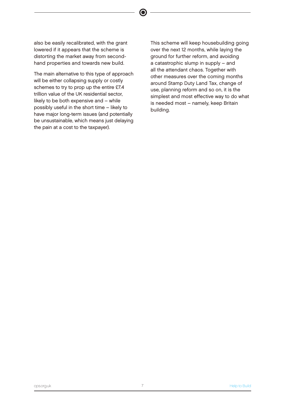also be easily recalibrated, with the grant lowered if it appears that the scheme is distorting the market away from secondhand properties and towards new build.

 $\bullet$ 

The main alternative to this type of approach will be either collapsing supply or costly schemes to try to prop up the entire £7.4 trillion value of the UK residential sector, likely to be both expensive and – while possibly useful in the short time – likely to have major long-term issues (and potentially be unsustainable, which means just delaying the pain at a cost to the taxpayer).

This scheme will keep housebuilding going over the next 12 months, while laying the ground for further reform, and avoiding a catastrophic slump in supply – and all the attendant chaos. Together with other measures over the coming months around Stamp Duty Land Tax, change of use, planning reform and so on, it is the simplest and most effective way to do what is needed most – namely, keep Britain building.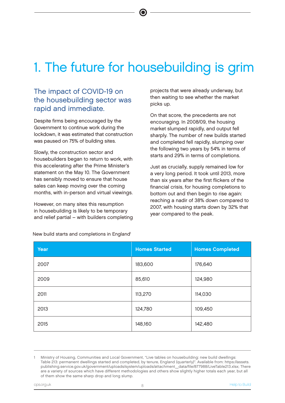# 1. The future for housebuilding is grim

## The impact of COVID-19 on the housebuilding sector was rapid and immediate.

Despite firms being encouraged by the Government to continue work during the lockdown, it was estimated that construction was paused on 75% of building sites.

Slowly, the construction sector and housebuilders began to return to work, with this accelerating after the Prime Minister's statement on the May 10. The Government has sensibly moved to ensure that house sales can keep moving over the coming months, with in-person and virtual viewings.

However, on many sites this resumption in housebuilding is likely to be temporary and relief partial – with builders completing projects that were already underway, but then waiting to see whether the market picks up.

On that score, the precedents are not encouraging. In 2008/09, the housing market slumped rapidly, and output fell sharply. The number of new builds started and completed fell rapidly, slumping over the following two years by 54% in terms of starts and 29% in terms of completions.

Just as crucially, supply remained low for a very long period. It took until 2013, more than six years after the first flickers of the financial crisis, for housing completions to bottom out and then begin to rise again: reaching a nadir of 38% down compared to 2007, with housing starts down by 32% that year compared to the peak.

| Year | <b>Homes Started</b> | <b>Homes Completed</b> |
|------|----------------------|------------------------|
| 2007 | 183,600              | 176,640                |
| 2009 | 85,610               | 124,980                |
| 2011 | 113,270              | 114,030                |
| 2013 | 124,780              | 109,450                |
| 2015 | 148,160              | 142,480                |

New build starts and completions in England<sup>1</sup>

<sup>1</sup> Ministry of Housing, Communities and Local Government, "Live tables on housebuilding: new build dwellings: Table 213: permanent dwellings started and completed, by tenure, England (quarterly)". Available from: https://assets. publishing.service.gov.uk/government/uploads/system/uploads/attachment\_data/file/877988/LiveTable213.xlsx; There are a variety of sources which have different methodologies and others show slightly higher totals each year, but all of them show the same sharp drop and long slump.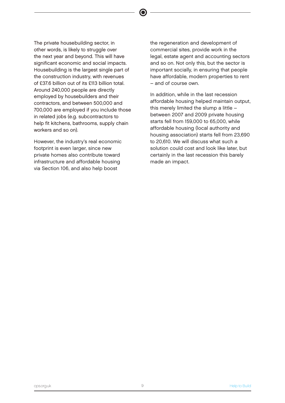The private housebuilding sector, in other words, is likely to struggle over the next year and beyond. This will have significant economic and social impacts. Housebuilding is the largest single part of the construction industry, with revenues of £37.6 billion out of its £113 billion total. Around 240,000 people are directly employed by housebuilders and their contractors, and between 500,000 and 700,000 are employed if you include those in related jobs (e.g. subcontractors to help fit kitchens, bathrooms, supply chain workers and so on).

However, the industry's real economic footprint is even larger, since new private homes also contribute toward infrastructure and affordable housing via Section 106, and also help boost

the regeneration and development of commercial sites, provide work in the legal, estate agent and accounting sectors and so on. Not only this, but the sector is important socially, in ensuring that people have affordable, modern properties to rent – and of course own.

 $\bullet$ 

In addition, while in the last recession affordable housing helped maintain output, this merely limited the slump a little – between 2007 and 2009 private housing starts fell from 159,000 to 65,000, while affordable housing (local authority and housing association) starts fell from 23,690 to 20,610. We will discuss what such a solution could cost and look like later, but certainly in the last recession this barely made an impact.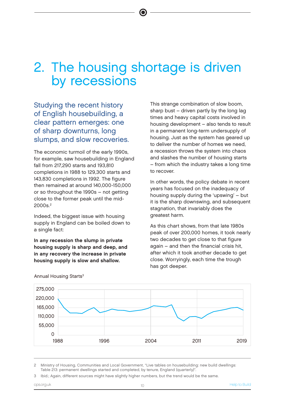# 2. The housing shortage is driven by recessions

 $\bullet$ 

Studying the recent history of English housebuilding, a clear pattern emerges: one of sharp downturns, long slumps, and slow recoveries.

The economic turmoil of the early 1990s, for example, saw housebuilding in England fall from 217,290 starts and 193,810 completions in 1988 to 129,300 starts and 143,830 completions in 1992. The figure then remained at around 140,000-150,000 or so throughout the 1990s – not getting close to the former peak until the mid-2000s.<sup>2</sup>

Indeed, the biggest issue with housing supply in England can be boiled down to a single fact:

In any recession the slump in private housing supply is sharp and deep, and in any recovery the increase in private housing supply is slow and shallow.

This strange combination of slow boom, sharp bust – driven partly by the long lag times and heavy capital costs involved in housing development – also tends to result in a permanent long-term undersupply of housing. Just as the system has geared up to deliver the number of homes we need, a recession throws the system into chaos and slashes the number of housing starts – from which the industry takes a long time to recover.

In other words, the policy debate in recent years has focused on the inadequacy of housing supply during the 'upswing' – but it is the sharp downswing, and subsequent stagnation, that invariably does the greatest harm.

As this chart shows, from that late 1980s peak of over 200,000 homes, it took nearly two decades to get close to that figure again – and then the financial crisis hit, after which it took another decade to get close. Worryingly, each time the trough has got deeper.



Annual Housing Starts<sup>3</sup>

2 Ministry of Housing, Communities and Local Government, "Live tables on housebuilding: new build dwellings: Table 213: permanent dwellings started and completed, by tenure, England (quarterly)".

Ibid.; Again, different sources might have slightly higher numbers, but the trend would be the same.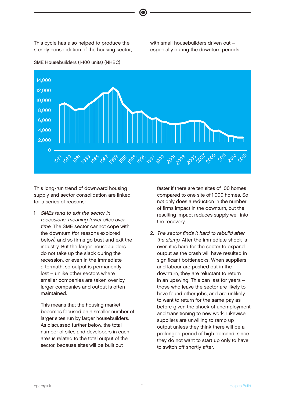This cycle has also helped to produce the steady consolidation of the housing sector, with small housebuilders driven out – especially during the downturn periods.



 $\bullet$ 

SME Housebuilders (1-100 units) (NHBC)

This long-run trend of downward housing supply and sector consolidation are linked for a series of reasons:

1. SMEs tend to exit the sector in recessions, meaning fewer sites over time. The SME sector cannot cope with the downturn (for reasons explored below) and so firms go bust and exit the industry. But the larger housebuilders do not take up the slack during the recession, or even in the immediate aftermath, so output is permanently lost – unlike other sectors where smaller companies are taken over by larger companies and output is often maintained.

 This means that the housing market becomes focused on a smaller number of larger sites run by larger housebuilders. As discussed further below, the total number of sites and developers in each area is related to the total output of the sector, because sites will be built out

faster if there are ten sites of 100 homes compared to one site of 1,000 homes. So not only does a reduction in the number of firms impact in the downturn, but the resulting impact reduces supply well into the recovery.

2. The sector finds it hard to rebuild after the slump. After the immediate shock is over, it is hard for the sector to expand output as the crash will have resulted in significant bottlenecks. When suppliers and labour are pushed out in the downturn, they are reluctant to return in an upswing. This can last for years – those who leave the sector are likely to have found other jobs, and are unlikely to want to return for the same pay as before given the shock of unemployment and transitioning to new work. Likewise, suppliers are unwilling to ramp up output unless they think there will be a prolonged period of high demand, since they do not want to start up only to have to switch off shortly after.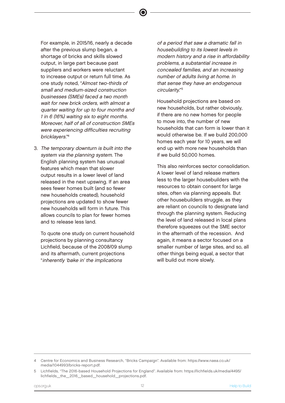For example, in 2015/16, nearly a decade after the previous slump began, a shortage of bricks and skills slowed output, in large part because past suppliers and workers were reluctant to increase output or return full time. As one study noted, "Almost two-thirds of small and medium-sized construction businesses (SMEs) faced a two month wait for new brick orders, with almost a quarter waiting for up to four months and 1 in 6 (16%) waiting six to eight months. Moreover, half of all of construction SMEs were experiencing difficulties recruiting bricklayers." 4

3. The temporary downturn is built into the system via the planning system. The English planning system has unusual features which mean that slower output results in a lower level of land released in the next upswing. If an area sees fewer homes built (and so fewer new households created), household projections are updated to show fewer new households will form in future. This allows councils to plan for fewer homes and to release less land.

 To quote one study on current household projections by planning consultancy Lichfield, because of the 2008/09 slump and its aftermath, current projections "inherently 'bake in' the implications

of a period that saw a dramatic fall in housebuilding to its lowest levels in modern history and a rise in affordability problems, a substantial increase in concealed families, and an increasing number of adults living at home. In that sense they have an endogenous circularity." 5

 Household projections are based on new households, but rather obviously, if there are no new homes for people to move into, the number of new households that can form is lower than it would otherwise be. If we build 200,000 homes each year for 10 years, we will end up with more new households than if we build 50,000 homes.

 This also reinforces sector consolidation. A lower level of land release matters less to the larger housebuilders with the resources to obtain consent for large sites, often via planning appeals. But other housebuilders struggle, as they are reliant on councils to designate land through the planning system. Reducing the level of land released in local plans therefore squeezes out the SME sector in the aftermath of the recession. And again, it means a sector focused on a smaller number of large sites, and so, all other things being equal, a sector that will build out more slowly.

<sup>4</sup> Centre for Economics and Business Research, "Bricks Campaign". Available from: https://www.naea.co.uk/ media/1044993/bricks-report.pdf.

<sup>5</sup> Lichfields, "The 2016-based Household Projections for England". Available from: https://lichfields.uk/media/4495/ lichfields\_the\_2016\_based\_household\_projections.pdf.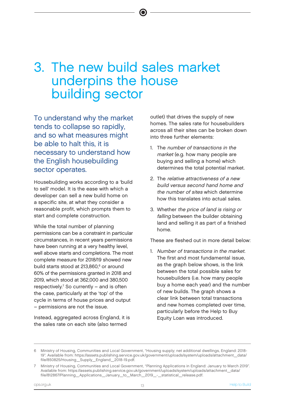# 3. The new build sales market underpins the house building sector

To understand why the market tends to collapse so rapidly, and so what measures might be able to halt this, it is necessary to understand how the English housebuilding sector operates.

Housebuilding works according to a 'build to sell' model. It is the ease with which a developer can sell a new build home on a specific site, at what they consider a reasonable profit, which prompts them to start and complete construction.

While the total number of planning permissions can be a constraint in particular circumstances, in recent years permissions have been running at a very healthy level, well above starts and completions. The most complete measure for 2018/19 showed new build starts stood at 213,860,<sup>6</sup> or around 60% of the permissions granted in 2018 and 2019, which stood at 362,000 and 380,500  $respectively.$ <sup>7</sup> So currently  $-$  and is often the case, particularly at the 'top' of the cycle in terms of house prices and output – permissions are not the issue.

Instead, aggregated across England, it is the sales rate on each site (also termed

outlet) that drives the supply of new homes. The sales rate for housebuilders across all their sites can be broken down into three further elements:

- 1. The number of transactions in the market (e.g. how many people are buying and selling a home) which determines the total potential market.
- 2. The relative attractiveness of a new build versus second hand home and the number of sites which determine how this translates into actual sales.
- 3. Whether the price of land is rising or falling between the builder obtaining land and selling it as part of a finished home.

These are fleshed out in more detail below:

1. Number of transactions in the market. The first and most fundamental issue, as the graph below shows, is the link between the total possible sales for housebuilders (i.e. how many people buy a home each year) and the number of new builds. The graph shows a clear link between total transactions and new homes completed over time, particularly before the Help to Buy Equity Loan was introduced.

<sup>6</sup> Ministry of Housing, Communities and Local Government, "Housing supply; net additional dwellings, England: 2018- 19". Available from: https://assets.publishing.service.gov.uk/government/uploads/system/uploads/attachment\_data/ file/850825/Housing\_Supply\_England\_2018-19.pdf.

<sup>7</sup> Ministry of Housing, Communities and Local Government, "Planning Applications in England: January to March 2019". Available from: https://assets.publishing.service.gov.uk/government/uploads/system/uploads/attachment\_data/ file/812867/Planning\_Applications\_January\_to\_March\_2019\_-\_statistical\_release.pdf.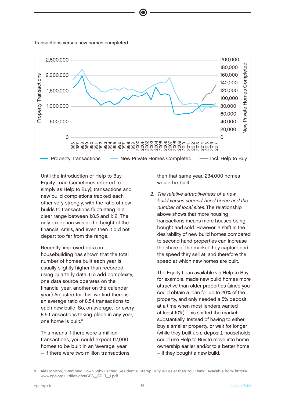Transactions versus new homes completed



 Until the introduction of Help to Buy Equity Loan (sometimes referred to simply as Help to Buy), transactions and new build completions tracked each other very strongly, with the ratio of new builds to transactions fluctuating in a clear range between 1:8.5 and 1:12. The only exception was at the height of the financial crisis, and even then it did not depart too far from the range.

 Recently, improved data on housebuilding has shown that the total number of homes built each year is usually slightly higher than recorded using quarterly data. (To add complexity, one data source operates on the financial year, another on the calendar year.) Adjusted for this, we find there is an average ratio of 8.54 transactions to each new build. So, on average, for every 8.5 transactions taking place in any year, one home is built.<sup>8</sup>

 This means if there were a million transactions, you could expect 117,000 homes to be built in an 'average' year – if there were two million transactions, then that same year, 234,000 homes would be built.

2. The relative attractiveness of a new build versus second-hand home and the number of local sites. The relationship above shows that more housing transactions means more houses being bought and sold. However, a shift in the desirability of new build homes compared to second hand properties can increase the share of the market they capture and the speed they sell at, and therefore the speed at which new homes are built.

The Equity Loan available via Help to Buy. for example, made new build homes more attractive than older properties (since you could obtain a loan for up to 20% of the property, and only needed a 5% deposit, at a time when most lenders wanted at least 10%). This shifted the market substantially. Instead of having to either buy a smaller property, or wait for longer (while they built up a deposit), households could use Help to Buy to move into home ownership earlier and/or to a better home – if they bought a new build.

<sup>8</sup> Alex Morton, "Stamping Down: Why Cutting Residential Stamp Duty is Easier than You Think". Available from: https://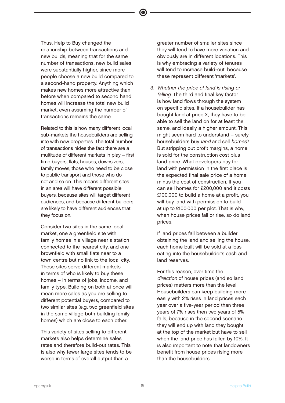Thus, Help to Buy changed the relationship between transactions and new builds, meaning that for the same number of transactions, new build sales were substantially higher, since more people choose a new build compared to a second-hand property. Anything which makes new homes more attractive than before when compared to second hand homes will increase the total new build market, even assuming the number of transactions remains the same.

 $\bullet$ 

 Related to this is how many different local sub-markets the housebuilders are selling into with new properties. The total number of transactions hides the fact there are a multitude of different markets in play – first time buyers, flats, houses, downsizers, family moves, those who need to be close to public transport and those who do not and so on. This means different sites in an area will have different possible buyers, because sites will target different audiences, and because different builders are likely to have different audiences that they focus on.

 Consider two sites in the same local market, one a greenfield site with family homes in a village near a station connected to the nearest city, and one brownfield with small flats near to a town centre but no link to the local city. These sites serve different markets in terms of who is likely to buy these homes – in terms of jobs, income, and family type. Building on both at once will mean more sales as you are selling to different potential buyers, compared to two similar sites (e.g. two greenfield sites in the same village both building family homes) which are close to each other.

 This variety of sites selling to different markets also helps determine sales rates and therefore build-out rates. This is also why fewer large sites tends to be worse in terms of overall output than a

greater number of smaller sites since they will tend to have more variation and obviously are in different locations. This is why embracing a variety of tenures will tend to increase build-out, because these represent different 'markets'.

3. Whether the price of land is rising or falling. The third and final key factor is how land flows through the system on specific sites. If a housebuilder has bought land at price X, they have to be able to sell the land on for at least the same, and ideally a higher amount. This might seem hard to understand – surely housebuilders buy land and sell homes? But stripping out profit margins, a home is sold for the construction cost plus land price. What developers pay for land with permission in the first place is the expected final sale price of a home minus the cost of construction. If you can sell homes for £200,000 and it costs £100,000 to build a home at a profit, you will buy land with permission to build at up to £100,000 per plot. That is why, when house prices fall or rise, so do land prices.

 If land prices fall between a builder obtaining the land and selling the house, each home built will be sold at a loss, eating into the housebuilder's cash and land reserves.

 For this reason, over time the direction of house prices (and so land prices) matters more than the level. Housebuilders can keep building more easily with 2% rises in land prices each year over a five-year period than three years of 7% rises then two years of 5% falls, because in the second scenario they will end up with land they bought at the top of the market but have to sell when the land price has fallen by 10%. It is also important to note that landowners benefit from house prices rising more than the housebuilders.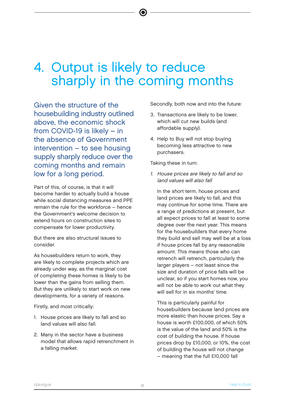# 4. Output is likely to reduce sharply in the coming months

Given the structure of the housebuilding industry outlined above, the economic shock from COVID-19 is likely – in the absence of Government intervention – to see housing supply sharply reduce over the coming months and remain low for a long period.

Part of this, of course, is that it will become harder to actually build a house while social distancing measures and PPE remain the rule for the workforce – hence the Government's welcome decision to extend hours on construction sites to compensate for lower productivity.

But there are also structural issues to consider.

As housebuilders return to work, they are likely to complete projects which are already under way, as the marginal cost of completing these homes is likely to be lower than the gains from selling them. But they are unlikely to start work on new developments, for a variety of reasons.

Firstly, and most critically:

- 1. House prices are likely to fall and so land values will also fall.
- 2. Many in the sector have a business model that allows rapid retrenchment in a falling market.

Secondly, both now and into the future:

- 3. Transactions are likely to be lower, which will cut new builds (and affordable supply).
- 4. Help to Buy will not stop buying becoming less attractive to new purchasers.

Taking these in turn:

1. House prices are likely to fall and so land values will also fall

In the short term, house prices and land prices are likely to fall, and this may continue for some time. There are a range of predictions at present, but all expect prices to fall at least to some degree over the next year. This means for the housebuilders that every home they build and sell may well be at a loss if house prices fall by any reasonable amount. This means those who can retrench will retrench, particularly the larger players – not least since the size and duration of price falls will be unclear, so if you start homes now, you will not be able to work out what they will sell for in six months' time.

 This is particularly painful for housebuilders because land prices are more elastic than house prices. Say a house is worth £100,000, of which 50% is the value of the land and 50% is the cost of building the house. If house prices drop by £10,000, or 10%, the cost of building the house will not change – meaning that the full £10,000 fall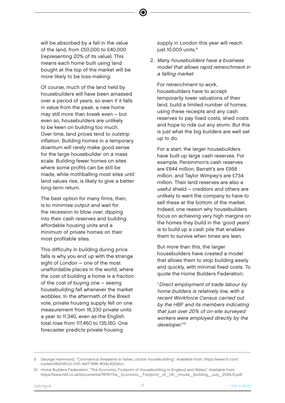will be absorbed by a fall in the value of the land, from £50,000 to £40,000 (representing 20% of its value). This means each home built using land bought at the top of the market will be more likely to be loss-making.

 Of course, much of the land held by housebuilders will have been amassed over a period of years, so even if it falls in value from the peak, a new home may still more than break even – but even so, housebuilders are unlikely to be keen on building too much. Over time, land prices tend to outstrip inflation. Building homes in a temporary downturn will rarely make good sense for the large housebuilder on a mass scale. Building fewer homes on sites where some profits can be still be made, while mothballing most sites until land values rise, is likely to give a better long-term return.

 The best option for many firms, then, is to minimise output and wait for the recession to blow over, dipping into their cash reserves and building affordable housing units and a minimum of private homes on their most profitable sites.

 This difficulty in building during price falls is why you end up with the strange sight of London – one of the most unaffordable places in the world, where the cost of building a home is a fraction of the cost of buying one – seeing housebuilding fall whenever the market wobbles. In the aftermath of the Brexit vote, private housing supply fell on one measurement from 16,330 private units a year to 11,340, even as the English total rose from 117,460 to 135,160. One forecaster predicts private housing

supply in London this year will reach just 10,000 units.<sup>9</sup>

2. Many housebuilders have a business model that allows rapid retrenchment in a falling market

 For retrenchment to work, housebuilders have to accept temporarily lower valuations of their land, build a limited number of homes, using these receipts and any cash reserves to pay fixed costs, shed costs and hope to ride out any storm. But this is just what the big builders are well set up to do.

 For a start, the larger housebuilders have built up large cash reserves. For example, Persimmon's cash reserves are £844 million, Barratt's are £958 million, and Taylor Wimpey's are £734 million. Their land reserves are also a useful shield – creditors and others are unlikely to want the company to have to sell these at the bottom of the market. Indeed, one reason why housebuilders focus on achieving very high margins on the homes they build in the 'good years' is to build up a cash pile that enables them to survive when times are lean.

 But more than this, the larger housebuilders have created a model that allows them to stop building easily and quickly, with minimal fixed costs. To quote the Home Builders Federation:

 "Direct employment of trade labour by home builders is relatively low, with a recent Workforce Census carried out by the HBF and its members indicating that just over 20% of on-site surveyed workers were employed directly by the developer." 10

George Hammond, "Coronavirus threatens to halve London housebuilding". Available from: https://www.ft.com/ content/6d1361c5-1001-4ef7-8f8f-4f34c422d1cc.

<sup>10</sup> Home Builders Federation, "The Economic Footprint of Housebuilding in England and Wales". Available from: https://www.hbf.co.uk/documents/7876/The\_Economic\_Footprint\_of\_UK\_House\_Building\_July\_2018LR.pdf.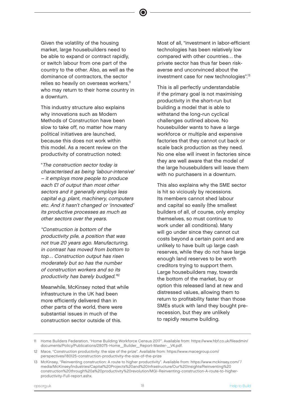Given the volatility of the housing market, large housebuilders need to be able to expand or contract rapidly, or switch labour from one part of the country to the other. Also, as well as the dominance of contractors, the sector relies so heavily on overseas workers,<sup>11</sup> who may return to their home country in a downturn.

 This industry structure also explains why innovations such as Modern Methods of Construction have been slow to take off, no matter how many political initiatives are launched, because this does not work within this model. As a recent review on the productivity of construction noted:

 "The construction sector today is characterised as being 'labour-intensive' – it employs more people to produce each £1 of output than most other sectors and it generally employs less capital e.g. plant, machinery, computers etc. And it hasn't changed or 'innovated' its productive processes as much as other sectors over the years.

"Construction is bottom of the productivity pile, a position that was not true 20 years ago. Manufacturing, in contrast has moved from bottom to top… Construction output has risen moderately but so has the number of construction workers and so its productivity has barely budged." 12

 Meanwhile, McKinsey noted that while infrastructure in the UK had been more efficiently delivered than in other parts of the world, there were substantial issues in much of the construction sector outside of this.

Most of all, "investment in labor-efficient technologies has been relatively low compared with other countries… the private sector has thus far been riskaverse and unconvinced about the investment case for new technologies".<sup>13</sup>

 This is all perfectly understandable if the primary goal is not maximising productivity in the short-run but building a model that is able to withstand the long-run cyclical challenges outlined above. No housebuilder wants to have a large workforce or multiple and expensive factories that they cannot cut back or scale back production as they need. No one else will invest in factories since they are well aware that the model of the large housebuilders will leave them with no purchasers in a downturn.

 This also explains why the SME sector is hit so viciously by recessions. Its members cannot shed labour and capital so easily (the smallest builders of all, of course, only employ themselves, so must continue to work under all conditions). Many will go under since they cannot cut costs beyond a certain point and are unlikely to have built up large cash reserves, while they do not have large enough land reserves to be worth creditors trying to support them. Large housebuilders may, towards the bottom of the market, buy or option this released land at new and distressed values, allowing them to return to profitability faster than those SMEs stuck with land they bought prerecession, but they are unlikely to rapidly resume building.

<sup>11</sup> Home Builders Federation, "Home Building Workforce Census 2017". Available from: https://www.hbf.co.uk/fileadmin/ documents/Policy/Publications/28075-Home\_Builder\_Report-Master-\_V4.pdf.

<sup>12</sup> Mace, "Construction productivity: the size of the prize". Available from: https://www.macegroup.com/ perspectives/180125-construction-productivity-the-size-of-the-prize

<sup>13</sup> McKinsey, "Reinventing construction: A route to higher productivity". Available from: https://www.mckinsey.com/~/ media/McKinsey/Industries/Capital%20Projects%20and%20Infrastructure/Our%20Insights/Reinventing%20 construction%20through%20a%20productivity%20revolution/MGI-Reinventing-construction-A-route-to-higherproductivity-Full-report.ashx.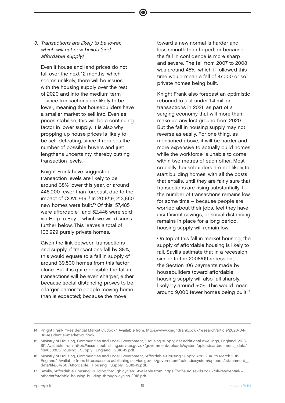3. Transactions are likely to be lower, which will cut new builds (and affordable supply)

 Even if house and land prices do not fall over the next 12 months, which seems unlikely, there will be issues with the housing supply over the rest of 2020 and into the medium term – since transactions are likely to be lower, meaning that housebuilders have a smaller market to sell into. Even as prices stabilise, this will be a continuing factor in lower supply. It is also why propping up house prices is likely to be self-defeating, since it reduces the number of possible buyers and just lengthens uncertainty, thereby cutting transaction levels.

 Knight Frank have suggested transaction levels are likely to be around 38% lower this year, or around 446,000 fewer than forecast, due to the impact of COVID-19.<sup>14</sup> In 2018/19, 213,860 new homes were built.<sup>15</sup> Of this, 57,485 were affordable<sup>16</sup> and 52,446 were sold via Help to Buy – which we will discuss further below. This leaves a total of 103,929 purely private homes.

 Given the link between transactions and supply, if transactions fall by 38%, this would equate to a fall in supply of around 39,500 homes from this factor alone. But it is quite possible the fall in transactions will be even sharper, either because social distancing proves to be a larger barrier to people moving home than is expected; because the move

toward a new normal is harder and less smooth than hoped; or because the fall in confidence is more sharp and severe. The fall from 2007 to 2008 was around 45%, which if followed this time would mean a fall of 47,000 or so private homes being built.

 Knight Frank also forecast an optimistic rebound to just under 1.4 million transactions in 2021, as part of a surging economy that will more than make up any lost ground from 2020. But the fall in housing supply may not reverse as easily. For one thing, as mentioned above, it will be harder and more expensive to actually build homes while the workforce is unable to come within two metres of each other. Most crucially, housebuilders are not likely to start building homes, with all the costs that entails, until they are fairly sure that transactions are rising substantially. If the number of transactions remains low for some time – because people are worried about their jobs, feel they have insufficient savings, or social distancing remains in place for a long period, housing supply will remain low.

 On top of this fall in market housing, the supply of affordable housing is likely to fall. Savills estimate that in a recession similar to the 2008/09 recession, the Section 106 payments made by housebuilders toward affordable housing supply will also fall sharply, likely by around 50%. This would mean around 9,000 fewer homes being built.<sup>17</sup>

<sup>14</sup> Knight Frank, "Residential Market Outlook". Available from: https://www.knightfrank.co.uk/research/article/2020-04- 06-residential-market-outlook.

<sup>15</sup> Ministry of Housing, Communities and Local Government, "Housing supply; net additional dwellings, England: 2018- 19". Available from: https://assets.publishing.service.gov.uk/government/uploads/system/uploads/attachment\_data/ file/850825/Housing\_Supply\_England\_2018-19.pdf.

<sup>16</sup> Ministry of Housing, Communities and Local Government, "Affordable Housing Supply: April 2018 to March 2019 England". Available from: https://assets.publishing.service.gov.uk/government/uploads/system/uploads/attachment\_ data/file/847661/Affordable\_Housing\_Supply\_2018-19.pdf.

<sup>17</sup> Savills, "Affordable Housing: Building through cycles". Available from: https://pdf.euro.savills.co.uk/uk/residential-- other/affordable-housing-building-through-cycles-2018.pdf.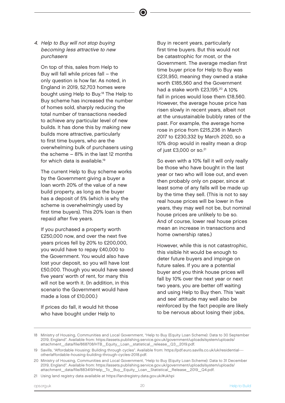4. Help to Buy will not stop buying becoming less attractive to new purchasers

On top of this, sales from Help to Buy will fall while prices fall – the only question is how far. As noted, in England in 2019, 52,703 homes were bought using Help to Buy.<sup>18</sup> The Help to Buy scheme has increased the number of homes sold, sharply reducing the total number of transactions needed to achieve any particular level of new builds. It has done this by making new builds more attractive, particularly to first time buyers, who are the overwhelming bulk of purchasers using the scheme – 81% in the last 12 months for which data is available.<sup>19</sup>

 The current Help to Buy scheme works by the Government giving a buyer a loan worth 20% of the value of a new build property, as long as the buyer has a deposit of 5% (which is why the scheme is overwhelmingly used by first time buyers). This 20% loan is then repaid after five years.

 If you purchased a property worth £250,000 now, and over the next five years prices fell by 20% to £200,000, you would have to repay £40,000 to the Government. You would also have lost your deposit, so you will have lost £50,000. Though you would have saved five years' worth of rent, for many this will not be worth it. (In addition, in this scenario the Government would have made a loss of £10,000.)

 If prices do fall, it would hit those who have bought under Help to

Buy in recent years, particularly first time buyers. But this would not be catastrophic for most, or the Government. The average median first time buyer price for Help to Buy was £231,950, meaning they owned a stake worth £185,560 and the Government had a stake worth £23,195.<sup>20</sup> A 10% fall in prices would lose them £18,560. However, the average house price has risen slowly in recent years, albeit not at the unsustainable bubbly rates of the past. For example, the average home rose in price from £215,236 in March 2017 to £230,332 by March 2020, so a 10% drop would in reality mean a drop of just £3,000 or so.<sup>21</sup>

 So even with a 10% fall it will only really be those who have bought in the last year or two who will lose out, and even then probably only on paper, since at least some of any falls will be made up by the time they sell. (This is not to say real house prices will be lower in five years, they may well not be, but nominal house prices are unlikely to be so. And of course, lower real house prices mean an increase in transactions and home ownership rates.)

 However, while this is not catastrophic, this visible hit would be enough to deter future buyers and impinge on future sales. If you are a potential buyer and you think house prices will fall by 10% over the next year or next two years, you are better off waiting and using Help to Buy then. This 'wait and see' attitude may well also be reinforced by the fact people are likely to be nervous about losing their jobs,

<sup>18</sup> Ministry of Housing, Communities and Local Government, "Help to Buy (Equity Loan Scheme): Data to 30 September 2019, England". Available from: https://assets.publishing.service.gov.uk/government/uploads/system/uploads/ attachment\_data/file/868708/HTB\_Equity\_Loan\_statistical\_release\_Q3\_2019.pdf.

<sup>19</sup> Savills, "Affordable Housing: Building through cycles". Available from: https://pdf.euro.savills.co.uk/uk/residential-- other/affordable-housing-building-through-cycles-2018.pdf.

<sup>20</sup> Ministry of Housing, Communities and Local Government, "Help to Buy (Equity Loan Scheme): Data to 31 December 2019, England". Available from: https://assets.publishing.service.gov.uk/government/uploads/system/uploads/ attachment\_data/file/883419/Help\_To\_Buy\_Equity\_Loan\_Statistical\_Release\_2019\_Q4.pdf.

<sup>21</sup> Using land registry data available at https://landregistry.data.gov.uk/#ukhpi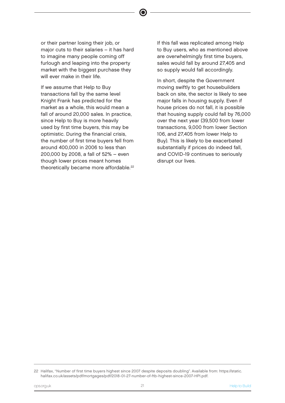or their partner losing their job, or major cuts to their salaries – it has hard to imagine many people coming off furlough and leaping into the property market with the biggest purchase they will ever make in their life.

 If we assume that Help to Buy transactions fall by the same level Knight Frank has predicted for the market as a whole, this would mean a fall of around 20,000 sales. In practice, since Help to Buy is more heavily used by first time buyers, this may be optimistic. During the financial crisis, the number of first time buyers fell from around 400,000 in 2006 to less than 200,000 by 2008, a fall of 52% – even though lower prices meant homes theoretically became more affordable.<sup>22</sup>

 If this fall was replicated among Help to Buy users, who as mentioned above are overwhelmingly first time buyers, sales would fall by around 27,405 and so supply would fall accordingly.

 In short, despite the Government moving swiftly to get housebuilders back on site, the sector is likely to see major falls in housing supply. Even if house prices do not fall, it is possible that housing supply could fall by 76,000 over the next year (39,500 from lower transactions, 9,000 from lower Section 106, and 27,405 from lower Help to Buy). This is likely to be exacerbated substantially if prices do indeed fall, and COVID-19 continues to seriously disrupt our lives.

<sup>22</sup> Halifax, "Number of first time buyers highest since 2007 despite deposits doubling". Available from: https://static. halifax.co.uk/assets/pdf/mortgages/pdf/2018-01-27-number-of-ftb-highest-since-2007-HPI.pdf.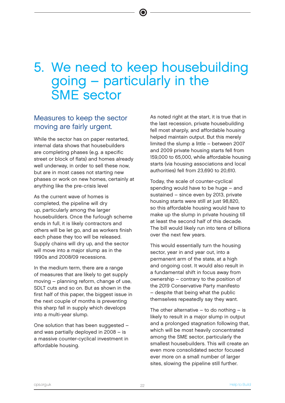# 5. We need to keep housebuilding going – particularly in the SME sector

### Measures to keep the sector moving are fairly urgent.

While the sector has on paper restarted, internal data shows that housebuilders are completing phases (e.g. a specific street or block of flats) and homes already well underway, in order to sell these now, but are in most cases not starting new phases or work on new homes, certainly at anything like the pre-crisis level

As the current wave of homes is completed, the pipeline will dry up, particularly among the larger housebuilders. Once the furlough scheme ends in full, it is likely contractors and others will be let go, and as workers finish each phase they too will be released. Supply chains will dry up, and the sector will move into a major slump as in the 1990s and 2008/09 recessions.

In the medium term, there are a range of measures that are likely to get supply moving – planning reform, change of use, SDLT cuts and so on. But as shown in the first half of this paper, the biggest issue in the next couple of months is preventing this sharp fall in supply which develops into a multi-year slump.

One solution that has been suggested – and was partially deployed in 2008 – is a massive counter-cyclical investment in affordable housing.

As noted right at the start, it is true that in the last recession, private housebuilding fell most sharply, and affordable housing helped maintain output. But this merely limited the slump a little – between 2007 and 2009 private housing starts fell from 159,000 to 65,000, while affordable housing starts (via housing associations and local authorities) fell from 23,690 to 20,610.

Today, the scale of counter-cyclical spending would have to be huge – and sustained – since even by 2013, private housing starts were still at just 98,820, so this affordable housing would have to make up the slump in private housing till at least the second half of this decade. The bill would likely run into tens of billions over the next few years.

This would essentially turn the housing sector, year in and year out, into a permanent arm of the state, at a high and ongoing cost. It would also result in a fundamental shift in focus away from ownership – contrary to the position of the 2019 Conservative Party manifesto – despite that being what the public themselves repeatedly say they want.

The other alternative  $-$  to do nothing  $-$  is likely to result in a major slump in output and a prolonged stagnation following that, which will be most heavily concentrated among the SME sector, particularly the smallest housebuilders. This will create an even more consolidated sector focused ever more on a small number of larger sites, slowing the pipeline still further.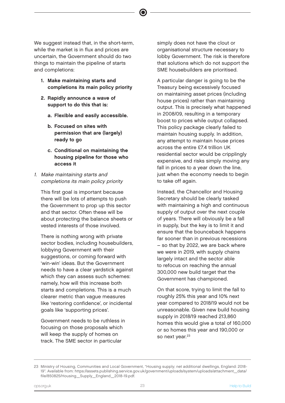We suggest instead that, in the short-term, while the market is in flux and prices are uncertain, the Government should do two things to maintain the pipeline of starts and completions:

- 1. Make maintaining starts and completions its main policy priority
- 2. Rapidly announce a wave of support to do this that is:
	- a. Flexible and easily accessible.
	- b. Focused on sites with permission that are (largely) ready to go
	- c. Conditional on maintaining the housing pipeline for those who access it
- 1. Make maintaining starts and completions its main policy priority

This first goal is important because there will be lots of attempts to push the Government to prop up this sector and that sector. Often these will be about protecting the balance sheets or vested interests of those involved.

There is nothing wrong with private sector bodies, including housebuilders, lobbying Government with their suggestions, or coming forward with 'win-win' ideas. But the Government needs to have a clear yardstick against which they can assess such schemes: namely, how will this increase both starts and completions. This is a much clearer metric than vague measures like 'restoring confidence', or incidental goals like 'supporting prices'.

Government needs to be ruthless in focusing on those proposals which will keep the supply of homes on track. The SME sector in particular

simply does not have the clout or organisational structure necessary to lobby Government. The risk is therefore that solutions which do not support the SME housebuilders are prioritised.

A particular danger is going to be the Treasury being excessively focused on maintaining asset prices (including house prices) rather than maintaining output. This is precisely what happened in 2008/09, resulting in a temporary boost to prices while output collapsed. This policy package clearly failed to maintain housing supply. In addition, any attempt to maintain house prices across the entire £7.4 trillion UK residential sector would be cripplingly expensive, and risks simply moving any fall in prices to a year down the line, just when the economy needs to begin to take off again.

Instead, the Chancellor and Housing Secretary should be clearly tasked with maintaining a high and continuous supply of output over the next couple of years. There will obviously be a fall in supply, but the key is to limit it and ensure that the bounceback happens far sooner than in previous recessions – so that by 2022, we are back where we were in 2019, with supply chains largely intact and the sector able to refocus on reaching the annual 300,000 new build target that the Government has championed.

On that score, trying to limit the fall to roughly 25% this year and 10% next year compared to 2018/19 would not be unreasonable. Given new build housing supply in 2018/19 reached 213,860 homes this would give a total of 160,000 or so homes this year and 190,000 or so next year.<sup>23</sup>

<sup>23</sup> Ministry of Housing, Communities and Local Government, "Housing supply; net additional dwellings, England: 2018- 19". Available from: https://assets.publishing.service.gov.uk/government/uploads/system/uploads/attachment\_data/ file/850825/Housing\_Supply\_England\_2018-19.pdf.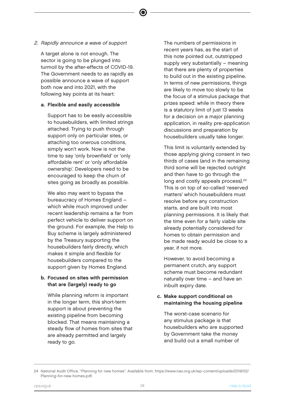### 2. Rapidly announce a wave of support

A target alone is not enough. The sector is going to be plunged into turmoil by the after-effects of COVID-19. The Government needs to as rapidly as possible announce a wave of support both now and into 2021, with the following key points at its heart:

### a. Flexible and easily accessible

 Support has to be easily accessible to housebuilders, with limited strings attached. Trying to push through support only on particular sites, or attaching too onerous conditions, simply won't work. Now is not the time to say 'only brownfield' or 'only affordable rent' or 'only affordable ownership'. Developers need to be encouraged to keep the churn of sites going as broadly as possible.

 We also may want to bypass the bureaucracy of Homes England – which while much improved under recent leadership remains a far from perfect vehicle to deliver support on the ground. For example, the Help to Buy scheme is largely administered by the Treasury supporting the housebuilders fairly directly, which makes it simple and flexible for housebuilders compared to the support given by Homes England.

### b. Focused on sites with permission that are (largely) ready to go

 While planning reform is important in the longer term, this short-term support is about preventing the existing pipeline from becoming blocked. That means maintaining a steady flow of homes from sites that are already permitted and largely ready to go.

 The numbers of permissions in recent years has, as the start of this note pointed out, outstripped supply very substantially – meaning that there are plenty of properties to build out in the existing pipeline. In terms of new permissions, things are likely to move too slowly to be the focus of a stimulus package that prizes speed: while in theory there is a statutory limit of just 13 weeks for a decision on a major planning application, in reality pre-application discussions and preparation by housebuilders usually take longer.

 This limit is voluntarily extended by those applying giving consent in two thirds of cases (and in the remaining third some will be rejected outright and then have to go through the long and costly appeals process).<sup>24</sup> This is on top of so-called 'reserved matters' which housebuilders must resolve before any construction starts, and are built into most planning permissions. It is likely that the time even for a fairly viable site already potentially considered for homes to obtain permission and be made ready would be close to a year, if not more.

 However, to avoid becoming a permanent crutch, any support scheme must become redundant naturally over time – and have an inbuilt expiry date.

#### c. Make support conditional on maintaining the housing pipeline

 The worst-case scenario for any stimulus package is that housebuilders who are supported by Government take the money and build out a small number of

<sup>24</sup> National Audit Office, "Planning for new homes". Available from: https://www.nao.org.uk/wp-content/uploads/2019/02/ Planning-for-new-homes.pdf.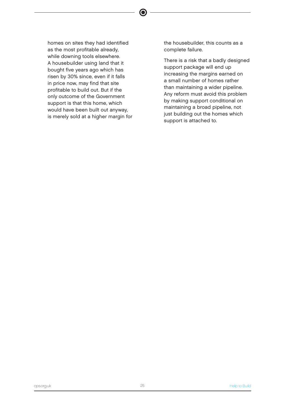homes on sites they had identified as the most profitable already, while downing tools elsewhere. A housebuilder using land that it bought five years ago which has risen by 30% since, even if it falls in price now, may find that site profitable to build out. But if the only outcome of the Government support is that this home, which would have been built out anyway, is merely sold at a higher margin for  $\bullet$ 

the housebuilder, this counts as a complete failure.

 There is a risk that a badly designed support package will end up increasing the margins earned on a small number of homes rather than maintaining a wider pipeline. Any reform must avoid this problem by making support conditional on maintaining a broad pipeline, not just building out the homes which support is attached to.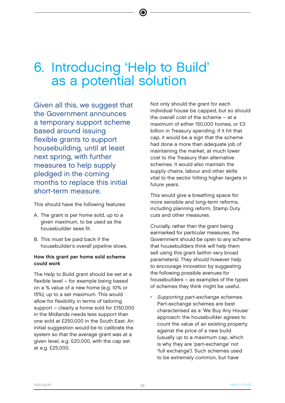# 6. Introducing 'Help to Build' as a potential solution

Given all this, we suggest that the Government announces a temporary support scheme based around issuing flexible grants to support housebuilding, until at least next spring, with further measures to help supply pledged in the coming months to replace this initial short-term measure.

This should have the following features:

- A. The grant is per home sold, up to a given maximum, to be used as the housebuilder sees fit.
- B. This must be paid back if the housebuilder's overall pipeline slows.

#### How this grant per home sold scheme could work

The Help to Build grant should be set at a flexible level – for example being based on a % value of a new home (e.g. 10% or 15%), up to a set maximum. This would allow for flexibility in terms of tailoring support – clearly a home sold for £150,000 in the Midlands needs less support than one sold at £250,000 in the South East. An initial suggestion would be to calibrate the system so that the average grant was at a given level, e.g. £20,000, with the cap set at e.g. £25,000.

Not only should the grant for each individual house be capped, but so should the overall cost of the scheme – at a maximum of either 150,000 homes, or £3 billion in Treasury spending. If it hit that cap, it would be a sign that the scheme had done a more than adequate job of maintaining the market, at much lower cost to the Treasury than alternative schemes. It would also maintain the supply chains, labour and other skills vital to the sector hitting higher targets in future years.

This would give a breathing space for more sensible and long-term reforms, including planning reform, Stamp Duty cuts and other measures.

Crucially, rather than the grant being earmarked for particular measures, the Government should be open to any scheme that housebuilders think will help them sell using this grant (within very broad parameters). They should however help to encourage innovation by suggesting the following possible avenues for housebuilders – as examples of the types of schemes they think might be useful.

• Supporting part-exchange schemes. Part-exchange schemes are best characterised as a 'We Buy Any House' approach: the housebuilder agrees to count the value of an existing property against the price of a new build (usually up to a maximum cap, which is why they are 'part-exchange' not 'full exchange'). Such schemes used to be extremely common, but have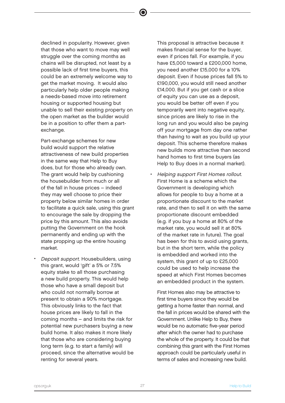declined in popularity. However, given that those who want to move may well struggle over the coming months as chains will be disrupted, not least by a possible lack of first time buyers, this could be an extremely welcome way to get the market moving. It would also particularly help older people making a needs-based move into retirement housing or supported housing but unable to sell their existing property on the open market as the builder would be in a position to offer them a partexchange.

 $\bullet$ 

 Part-exchange schemes for new build would support the relative attractiveness of new build properties in the same way that Help to Buy does, but for those who already own. The grant would help by cushioning the housebuilder from much or all of the fall in house prices – indeed they may well choose to price their property below similar homes in order to facilitate a quick sale, using this grant to encourage the sale by dropping the price by this amount. This also avoids putting the Government on the hook permanently and ending up with the state propping up the entire housing market.

• Deposit support. Housebuilders, using this grant, would 'gift' a 5% or 7.5% equity stake to all those purchasing a new build property. This would help those who have a small deposit but who could not normally borrow at present to obtain a 90% mortgage. This obviously links to the fact that house prices are likely to fall in the coming months – and limits the risk for potential new purchasers buying a new build home. It also makes it more likely that those who are considering buying long term (e.g. to start a family) will proceed, since the alternative would be renting for several years.

 This proposal is attractive because it makes financial sense for the buyer, even if prices fall. For example, if you have £5,000 toward a £200,000 home, you need another £15,000 for a 10% deposit. Even if house prices fall 5% to £190,000, you would still need another £14,000. But if you get cash or a slice of equity you can use as a deposit, you would be better off even if you temporarily went into negative equity, since prices are likely to rise in the long run and you would also be paying off your mortgage from day one rather than having to wait as you build up your deposit. This scheme therefore makes new builds more attractive than second hand homes to first time buyers (as Help to Buy does in a normal market).

• Helping support First Homes rollout. First Home is a scheme which the Government is developing which allows for people to buy a home at a proportionate discount to the market rate, and then to sell it on with the same proportionate discount embedded (e.g. if you buy a home at 80% of the market rate, you would sell it at 80% of the market rate in future). The goal has been for this to avoid using grants, but in the short term, while the policy is embedded and worked into the system, this grant of up to £25,000 could be used to help increase the speed at which First Homes becomes an embedded product in the system.

 First Homes also may be attractive to first time buyers since they would be getting a home faster than normal, and the fall in prices would be shared with the Government. Unlike Help to Buy, there would be no automatic five-year period after which the owner had to purchase the whole of the property. It could be that combining this grant with the First Homes approach could be particularly useful in terms of sales and increasing new build.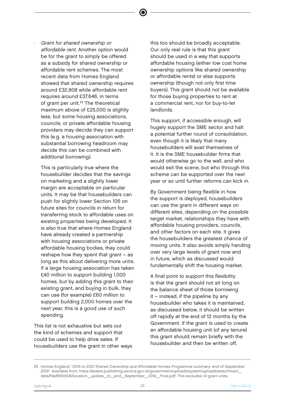Grant for shared ownership or affordable rent. Another option would be for the grant to simply be offered as a subsidy for shared ownership or affordable rent schemes. The most recent data from Homes England showed that shared ownership requires around £32,808 while affordable rent requires around £37,646, in terms of grant per unit.<sup>25</sup> The theoretical maximum above of £25,000 is slightly less, but some housing associations, councils, or private affordable housing providers may decide they can support this (e.g. a housing association with substantial borrowing headroom may decide this can be combined with additional borrowing).

 This is particularly true where the housebuilder decides that the savings on marketing and a slightly lower margin are acceptable on particular units. It may be that housebuilders can push for slightly lower Section 106 on future sites for councils in return for transferring stock to affordable uses on existing properties being developed. It is also true that where Homes England have already created a partnership with housing associations or private affordable housing bodies, they could reshape how they spent that grant – as long as this about delivering more units. If a large housing association has taken £40 million to support building 1,000 homes, but by adding this grant to their existing grant, and buying in bulk, they can use (for example) £60 million to support building 2,000 homes over the next year, this is a good use of such spending.

This list is not exhaustive but sets out the kind of schemes and support that could be used to help drive sales. If housebuilders use the grant in other ways this too should be broadly acceptable. Our only real rule is that this grant should be used in a way that supports affordable housing (either low cost home ownership options like shared ownership or affordable rents) or else supports ownership (though not only first time buyers). This grant should not be available for those buying properties to rent at a commercial rent, nor for buy-to-let landlords.

This support, if accessible enough, will hugely support the SME sector and halt a potential further round of consolidation, even though it is likely that many housebuilders will avail themselves of it. It is the SME housebuilder firms that would otherwise go to the wall, and who would exit the scene, but who through this scheme can be supported over the next year or so until further reforms can kick in.

By Government being flexible in how the support is deployed, housebuilders can use the grant in different ways on different sites, depending on the possible target market, relationships they have with affordable housing providers, councils, and other factors on each site. It gives the housebuilders the greatest chance of moving units. It also avoids simply handing over very large levels of grant now and in future, which as discussed would fundamentally shift the housing market.

A final point to support this flexibility is that the grant should not sit long on the balance sheet of those borrowing it – instead, if the pipeline by any housebuilder who takes it is maintained, as discussed below, it should be written off rapidly at the end of 12 months by the Government. If the grant is used to create an affordable housing unit (of any tenure) this grant should remain briefly with the housebuilder and then be written off,

<sup>25</sup> Homes England, "2016 to 2021 Shared Ownership and Affordable Homes Programme summary: end of September 2019". Available from: https://assets.publishing.service.gov.uk/government/uploads/system/uploads/attachment\_ data/file/865155/Allocation\_update\_to\_end\_September\_2019\_Final.pdf; This excludes nil grant units.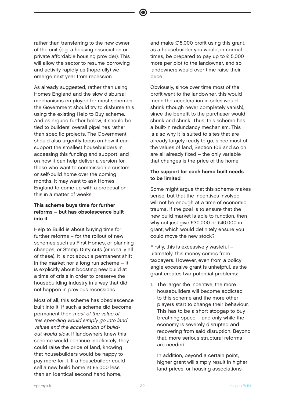rather than transferring to the new owner of the unit (e.g. a housing association or private affordable housing provider). This will allow the sector to resume borrowing and activity rapidly as (hopefully) we emerge next year from recession.

As already suggested, rather than using Homes England and the slow disbursal mechanisms employed for most schemes, the Government should try to disburse this using the existing Help to Buy scheme. And as argued further below, it should be tied to builders' overall pipelines rather than specific projects. The Government should also urgently focus on how it can support the smallest housebuilders in accessing this funding and support, and on how it can help deliver a version for those who want to commission a custom or self-build home over the coming months. It may want to ask Homes England to come up with a proposal on this in a matter of weeks.

### This scheme buys time for further reforms – but has obsolescence built into it

Help to Build is about buying time for further reforms – for the rollout of new schemes such as First Homes, or planning changes, or Stamp Duty cuts (or ideally all of these). It is not about a permanent shift in the market nor a long run scheme – it is explicitly about boosting new build at a time of crisis in order to preserve the housebuilding industry in a way that did not happen in previous recessions.

Most of all, this scheme has obsolescence built into it. If such a scheme did become permanent then most of the value of this spending would simply go into land values and the acceleration of buildout would slow. If landowners knew this scheme would continue indefinitely, they could raise the price of land, knowing that housebuilders would be happy to pay more for it. If a housebuilder could sell a new build home at £5,000 less than an identical second hand home,

and make £15,000 profit using this grant, as a housebuilder you would, in normal times, be prepared to pay up to £15,000 more per plot to the landowner, and so landowners would over time raise their price.

Obviously, since over time most of the profit went to the landowner, this would mean the acceleration in sales would shrink (though never completely vanish), since the benefit to the purchaser would shrink and shrink. Thus, this scheme has a built-in redundancy mechanism. This is also why it is suited to sites that are already largely ready to go, since most of the values of land, Section 106 and so on are all already fixed – the only variable that changes is the price of the home.

### The support for each home built needs to be limited

Some might argue that this scheme makes sense, but that the incentives involved will not be enough at a time of economic trauma. If the goal is to ensure that the new build market is able to function, then why not just give £30,000 or £40,000 in grant, which would definitely ensure you could move the new stock?

Firstly, this is excessively wasteful – ultimately, this money comes from taxpayers. However, even from a policy angle excessive grant is unhelpful, as the grant creates two potential problems:

1. The larger the incentive, the more housebuilders will become addicted to this scheme and the more other players start to change their behaviour. This has to be a short stopgap to buy breathing space – and only while the economy is severely disrupted and recovering from said disruption. Beyond that, more serious structural reforms are needed.

 In addition, beyond a certain point, higher grant will simply result in higher land prices, or housing associations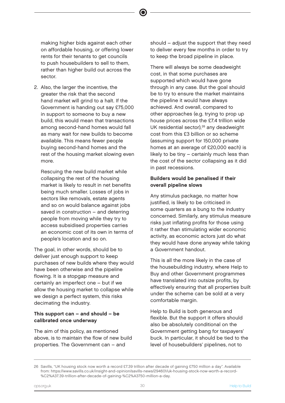making higher bids against each other on affordable housing, or offering lower rents for their tenants to get councils to push housebuilders to sell to them, rather than higher build out across the sector.

2. Also, the larger the incentive, the greater the risk that the second hand market will grind to a halt. If the Government is handing out say £75,000 in support to someone to buy a new build, this would mean that transactions among second-hand homes would fall as many wait for new builds to become available. This means fewer people buying second-hand homes and the rest of the housing market slowing even more.

 Rescuing the new build market while collapsing the rest of the housing market is likely to result in net benefits being much smaller. Losses of jobs in sectors like removals, estate agents and so on would balance against jobs saved in construction – and deterring people from moving while they try to access subsidised properties carries an economic cost of its own in terms of people's location and so on.

The goal, in other words, should be to deliver just enough support to keep purchases of new builds where they would have been otherwise and the pipeline flowing. It is a stopgap measure and certainly an imperfect one – but if we allow the housing market to collapse while we design a perfect system, this risks decimating the industry.

### This support can – and should – be calibrated once underway

The aim of this policy, as mentioned above, is to maintain the flow of new build properties. The Government can – and

should – adjust the support that they need to deliver every few months in order to try to keep the broad pipeline in place.

There will always be some deadweight cost, in that some purchases are supported which would have gone through in any case. But the goal should be to try to ensure the market maintains the pipeline it would have always achieved. And overall, compared to other approaches (e.g. trying to prop up house prices across the £7.4 trillion wide UK residential sector),<sup>26</sup> any deadweight cost from this £3 billion or so scheme (assuming support for 150,000 private homes at an average of £20,000 each) is likely to be tiny – certainly much less than the cost of the sector collapsing as it did in past recessions.

#### Builders would be penalised if their overall pipeline slows

Any stimulus package, no matter how justified, is likely to be criticised in some quarters as a bung to the industry concerned. Similarly, any stimulus measure risks just inflating profits for those using it rather than stimulating wider economic activity, as economic actors just do what they would have done anyway while taking a Government handout.

This is all the more likely in the case of the housebuilding industry, where Help to Buy and other Government programmes have translated into outsize profits, by effectively ensuring that all properties built under the scheme can be sold at a very comfortable margin.

Help to Build is both generous and flexible. But the support it offers should also be absolutely conditional on the Government getting bang for taxpayers' buck. In particular, it should be tied to the level of housebuilders' pipelines, not to

<sup>26</sup> Savills, "UK housing stock now worth a record £7.39 trillion after decade of gaining £750 million a day". Available from: https://www.savills.co.uk/insight-and-opinion/savills-news/294601/uk-housing-stock-now-worth-a-record- %C2%A37.39-trillion-after-decade-of-gaining-%C2%A3750-million-a-day.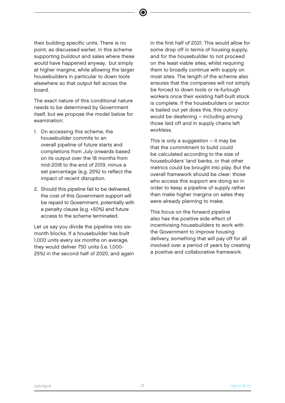their building specific units. There is no point, as discussed earlier, in this scheme supporting buildout and sales where these would have happened anyway, but simply at higher margins, while allowing the larger housebuilders in particular to down tools elsewhere so that output fell across the board.

The exact nature of this conditional nature needs to be determined by Government itself, but we propose the model below for examination:

- 1. On accessing this scheme, the housebuilder commits to an overall pipeline of future starts and completions from July onwards based on its output over the 18 months from mid-2018 to the end of 2019, minus a set percentage (e.g. 25%) to reflect the impact of recent disruption.
- 2. Should this pipeline fail to be delivered, the cost of this Government support will be repaid to Government, potentially with a penalty clause (e.g. +50%) and future access to the scheme terminated.

Let us say you divide the pipeline into sixmonth blocks. If a housebuilder has built 1,000 units every six months on average, they would deliver 750 units (i.e. 1,000- 25%) in the second half of 2020, and again in the first half of 2021. This would allow for some drop off in terms of housing supply, and for the housebuilder to not proceed on the least viable sites, whilst requiring them to broadly continue with supply on most sites. The length of the scheme also ensures that the companies will not simply be forced to down tools or re-furlough workers once their existing half-built stock is complete. If the housebuilders or sector is bailed out yet does this, this outcry would be deafening – including among those laid off and in supply chains left workless.

This is only a suggestion – it may be that the commitment to build could be calculated according to the size of housebuilders' land banks, or that other metrics could be brought into play. But the overall framework should be clear: those who access this support are doing so in order to keep a pipeline of supply rather than make higher margins on sales they were already planning to make.

This focus on the forward pipeline also has the positive side effect of incentivising housebuilders to work with the Government to improve housing delivery, something that will pay off for all involved over a period of years by creating a positive and collaborative framework.